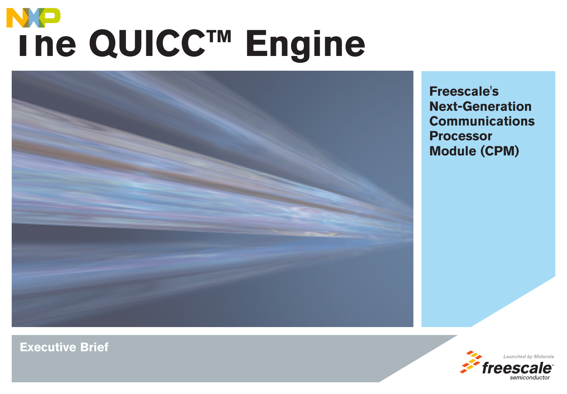# **The QUICC™ Engine**



**Freescale's Next-Generation Communications Processor Module (CPM)**

> Launched by Motorola freesc

**Executive Brief**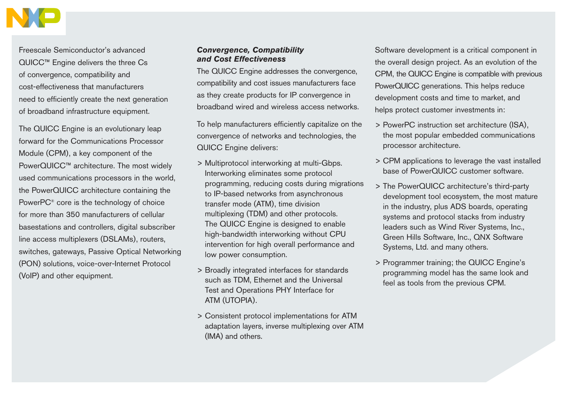

Freescale Semiconductor's advanced QUICC™ Engine delivers the three Cs of convergence, compatibility and cost-effectiveness that manufacturers need to efficiently create the next generation of broadband infrastructure equipment.

The QUICC Engine is an evolutionary leap forward for the Communications Processor Module (CPM), a key component of the PowerQUICC™ architecture. The most widely used communications processors in the world, the PowerQUICC architecture containing the PowerPC® core is the technology of choice for more than 350 manufacturers of cellular basestations and controllers, digital subscriber line access multiplexers (DSLAMs), routers, switches, gateways, Passive Optical Networking (PON) solutions, voice-over-Internet Protocol (VoIP) and other equipment.

### *Convergence, Compatibility and Cost Effectiveness*

The QUICC Engine addresses the convergence, compatibility and cost issues manufacturers face as they create products for IP convergence in broadband wired and wireless access networks.

To help manufacturers efficiently capitalize on the convergence of networks and technologies, the QUICC Engine delivers:

- > Multiprotocol interworking at multi-Gbps. Interworking eliminates some protocol programming, reducing costs during migrations to IP-based networks from asynchronous transfer mode (ATM), time division multiplexing (TDM) and other protocols. The QUICC Engine is designed to enable high-bandwidth interworking without CPU intervention for high overall performance and low power consumption.
- > Broadly integrated interfaces for standards such as TDM, Ethernet and the Universal Test and Operations PHY Interface for ATM (UTOPIA).
- > Consistent protocol implementations for ATM adaptation layers, inverse multiplexing over ATM (IMA) and others.

Software development is a critical component in the overall design project. As an evolution of the CPM, the QUICC Engine is compatible with previous PowerQUICC generations. This helps reduce development costs and time to market, and helps protect customer investments in:

- > PowerPC instruction set architecture (ISA), the most popular embedded communications processor architecture.
- > CPM applications to leverage the vast installed base of PowerQUICC customer software.
- > The PowerQUICC architecture's third-party development tool ecosystem, the most mature in the industry, plus ADS boards, operating systems and protocol stacks from industry leaders such as Wind River Systems, Inc., Green Hills Software, Inc., QNX Software Systems, Ltd. and many others.
- > Programmer training; the QUICC Engine's programming model has the same look and feel as tools from the previous CPM.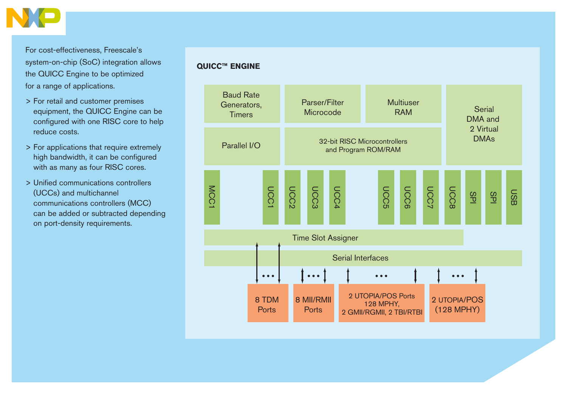

For cost-effectiveness, Freescale's system-on-chip (SoC) integration allows the QUICC Engine to be optimized for a range of applications.

- > For retail and customer premises equipment, the QUICC Engine can be configured with one RISC core to help reduce costs.
- > For applications that require extremely high bandwidth, it can be configured with as many as four RISC cores.
- > Unified communications controllers (UCCs) and multichannel communications controllers (MCC) can be added or subtracted depending on port-density requirements.

# **QUICC™ ENGINE**